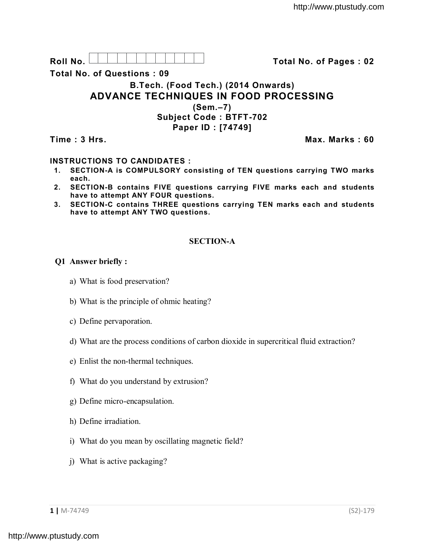Roll No. <u>And I And I Alexander Hermitide Colle</u> College Total No. of Pages : 02

**Total No. of Questions : 09**

# **B.Tech. (Food Tech.) (2014 Onwards) ADVANCE TECHNIQUES IN FOOD PROCESSING**

**(Sem.–7) Subject Code : BTFT-702 Paper ID : [74749]**

**Time : 3 Hrs. Max. Marks : 60**

## **INSTRUCTIONS TO CANDIDATES :**

- **1. SECTION-A is COMPULSORY consisting of TEN questions carrying TWO marks each.**
- **2. SECTION-B contains FIVE questions carrying FIVE marks each and students have to attempt ANY FOUR questions.**
- **3. SECTION-C contains THREE questions carrying TEN marks each and students have to attempt ANY TWO questions.**

### **SECTION-A**

#### **Q1 Answer briefly :**

- a) What is food preservation?
- b) What is the principle of ohmic heating?
- c) Define pervaporation.
- d) What are the process conditions of carbon dioxide in supercritical fluid extraction?
- e) Enlist the non-thermal techniques.
- f) What do you understand by extrusion?
- g) Define micro-encapsulation.
- h) Define irradiation.
- i) What do you mean by oscillating magnetic field?
- j) What is active packaging?

**1 |** M-74749 (S2)-179